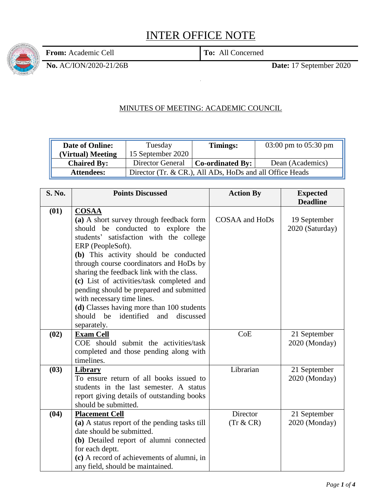## INTER OFFICE NOTE

**From:** Academic Cell **To:** All Concerned

**No.** AC/ION/2020-21/26B **Date:** 17 September 2020

## MINUTES OF MEETING: ACADEMIC COUNCIL

| <b>Date of Online:</b> | Tuesday                                                  | Timings:                         | 03:00 pm to $05:30$ pm |
|------------------------|----------------------------------------------------------|----------------------------------|------------------------|
| (Virtual) Meeting      | 15 September 2020                                        |                                  |                        |
| <b>Chaired By:</b>     | Director General                                         | $\vert$ Co-ordinated By: $\vert$ | Dean (Academics)       |
| <b>Attendees:</b>      | Director (Tr. & CR.), All ADs, HoDs and all Office Heads |                                  |                        |

| <b>S. No.</b> | <b>Points Discussed</b>                        | <b>Action By</b> | <b>Expected</b> |
|---------------|------------------------------------------------|------------------|-----------------|
|               |                                                |                  | <b>Deadline</b> |
| (01)          | <b>COSAA</b>                                   |                  |                 |
|               | (a) A short survey through feedback form       | COSAA and HoDs   | 19 September    |
|               | should be conducted to explore the             |                  | 2020 (Saturday) |
|               | students' satisfaction with the college        |                  |                 |
|               | ERP (PeopleSoft).                              |                  |                 |
|               | (b) This activity should be conducted          |                  |                 |
|               | through course coordinators and HoDs by        |                  |                 |
|               | sharing the feedback link with the class.      |                  |                 |
|               | (c) List of activities/task completed and      |                  |                 |
|               | pending should be prepared and submitted       |                  |                 |
|               | with necessary time lines.                     |                  |                 |
|               | (d) Classes having more than 100 students      |                  |                 |
|               | identified<br>should<br>be<br>discussed<br>and |                  |                 |
|               | separately.                                    |                  |                 |
| (02)          | <b>Exam Cell</b>                               | CoE              | 21 September    |
|               | COE should submit the activities/task          |                  | 2020 (Monday)   |
|               | completed and those pending along with         |                  |                 |
|               | timelines.                                     |                  |                 |
| (03)          | Library                                        | Librarian        | 21 September    |
|               | To ensure return of all books issued to        |                  | 2020 (Monday)   |
|               | students in the last semester. A status        |                  |                 |
|               | report giving details of outstanding books     |                  |                 |
|               | should be submitted.                           |                  |                 |
| (04)          | <b>Placement Cell</b>                          | Director         | 21 September    |
|               | (a) A status report of the pending tasks till  | $(Tr & C$ R)     | 2020 (Monday)   |
|               | date should be submitted.                      |                  |                 |
|               | (b) Detailed report of alumni connected        |                  |                 |
|               | for each deptt.                                |                  |                 |
|               | (c) A record of achievements of alumni, in     |                  |                 |
|               | any field, should be maintained.               |                  |                 |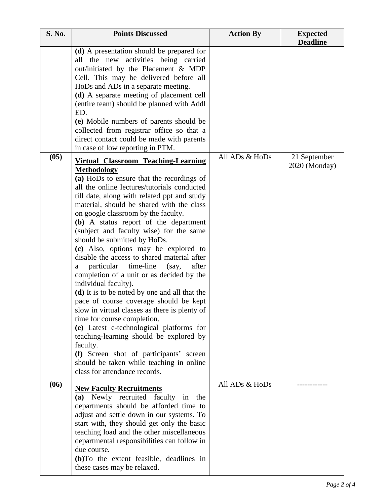| S. No. | <b>Points Discussed</b>                                                                                                                                                                                                                                                                                                                                                                                                                                                                                                                                                                                                                                                                                                                                                                                                                                                                                                                                                                                                              | <b>Action By</b> | <b>Expected</b><br><b>Deadline</b> |
|--------|--------------------------------------------------------------------------------------------------------------------------------------------------------------------------------------------------------------------------------------------------------------------------------------------------------------------------------------------------------------------------------------------------------------------------------------------------------------------------------------------------------------------------------------------------------------------------------------------------------------------------------------------------------------------------------------------------------------------------------------------------------------------------------------------------------------------------------------------------------------------------------------------------------------------------------------------------------------------------------------------------------------------------------------|------------------|------------------------------------|
|        | (d) A presentation should be prepared for<br>all the new activities being carried<br>out/initiated by the Placement & MDP<br>Cell. This may be delivered before all<br>HoDs and ADs in a separate meeting.<br>(d) A separate meeting of placement cell<br>(entire team) should be planned with Addl<br>ED.<br>(e) Mobile numbers of parents should be<br>collected from registrar office so that a<br>direct contact could be made with parents<br>in case of low reporting in PTM.                                                                                                                                                                                                                                                                                                                                                                                                                                                                                                                                                  |                  |                                    |
| (05)   | <b>Virtual Classroom Teaching-Learning</b><br><b>Methodology</b><br>(a) HoDs to ensure that the recordings of<br>all the online lectures/tutorials conducted<br>till date, along with related ppt and study<br>material, should be shared with the class<br>on google classroom by the faculty.<br>(b) A status report of the department<br>(subject and faculty wise) for the same<br>should be submitted by HoDs.<br>(c) Also, options may be explored to<br>disable the access to shared material after<br>particular time-line<br>(say,<br>after<br>a<br>completion of a unit or as decided by the<br>individual faculty).<br>(d) It is to be noted by one and all that the<br>pace of course coverage should be kept<br>slow in virtual classes as there is plenty of<br>time for course completion.<br>(e) Latest e-technological platforms for<br>teaching-learning should be explored by<br>faculty.<br>(f) Screen shot of participants' screen<br>should be taken while teaching in online<br>class for attendance records. | All ADs & HoDs   | 21 September<br>2020 (Monday)      |
| (06)   | <b>New Faculty Recruitments</b><br>(a) Newly recruited faculty in<br>the<br>departments should be afforded time to<br>adjust and settle down in our systems. To<br>start with, they should get only the basic<br>teaching load and the other miscellaneous<br>departmental responsibilities can follow in<br>due course.<br>(b) To the extent feasible, deadlines in<br>these cases may be relaxed.                                                                                                                                                                                                                                                                                                                                                                                                                                                                                                                                                                                                                                  | All ADs & HoDs   |                                    |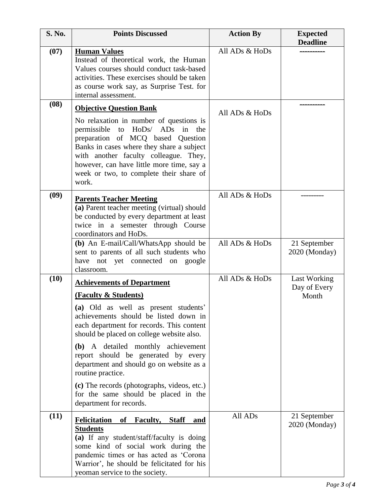| <b>S. No.</b> | <b>Points Discussed</b>                                                                                                                                                                                                                                                                                | <b>Action By</b> | <b>Expected</b><br><b>Deadline</b> |
|---------------|--------------------------------------------------------------------------------------------------------------------------------------------------------------------------------------------------------------------------------------------------------------------------------------------------------|------------------|------------------------------------|
| (07)          | <b>Human Values</b><br>Instead of theoretical work, the Human<br>Values courses should conduct task-based<br>activities. These exercises should be taken<br>as course work say, as Surprise Test. for<br>internal assessment.                                                                          | All ADs & HoDs   |                                    |
| (08)          | <b>Objective Question Bank</b>                                                                                                                                                                                                                                                                         | All ADs & HoDs   |                                    |
|               | No relaxation in number of questions is<br>permissible to HoDs/ ADs in the<br>preparation of MCQ based Question<br>Banks in cases where they share a subject<br>with another faculty colleague. They,<br>however, can have little more time, say a<br>week or two, to complete their share of<br>work. |                  |                                    |
| (09)          | <b>Parents Teacher Meeting</b><br>(a) Parent teacher meeting (virtual) should<br>be conducted by every department at least<br>twice in a semester through Course<br>coordinators and HoDs.                                                                                                             | All ADs & HoDs   |                                    |
|               | (b) An E-mail/Call/WhatsApp should be<br>sent to parents of all such students who<br>have not yet connected on google<br>classroom.                                                                                                                                                                    | All ADs & HoDs   | 21 September<br>2020 (Monday)      |
| (10)          | <b>Achievements of Department</b>                                                                                                                                                                                                                                                                      | All ADs & HoDs   | Last Working<br>Day of Every       |
|               | (Faculty & Students)<br>(a) Old as well as present students'                                                                                                                                                                                                                                           |                  | Month                              |
|               | achievements should be listed down in<br>each department for records. This content<br>should be placed on college website also.                                                                                                                                                                        |                  |                                    |
|               | (b) A detailed monthly achievement<br>report should be generated by every<br>department and should go on website as a<br>routine practice.                                                                                                                                                             |                  |                                    |
|               | (c) The records (photographs, videos, etc.)<br>for the same should be placed in the<br>department for records.                                                                                                                                                                                         |                  |                                    |
| (11)          | <b>Felicitation</b><br>of<br><b>Faculty, Staff</b><br><u>and</u><br><b>Students</b><br>(a) If any student/staff/faculty is doing<br>some kind of social work during the<br>pandemic times or has acted as 'Corona<br>Warrior', he should be felicitated for his<br>yeoman service to the society.      | All ADs          | 21 September<br>2020 (Monday)      |